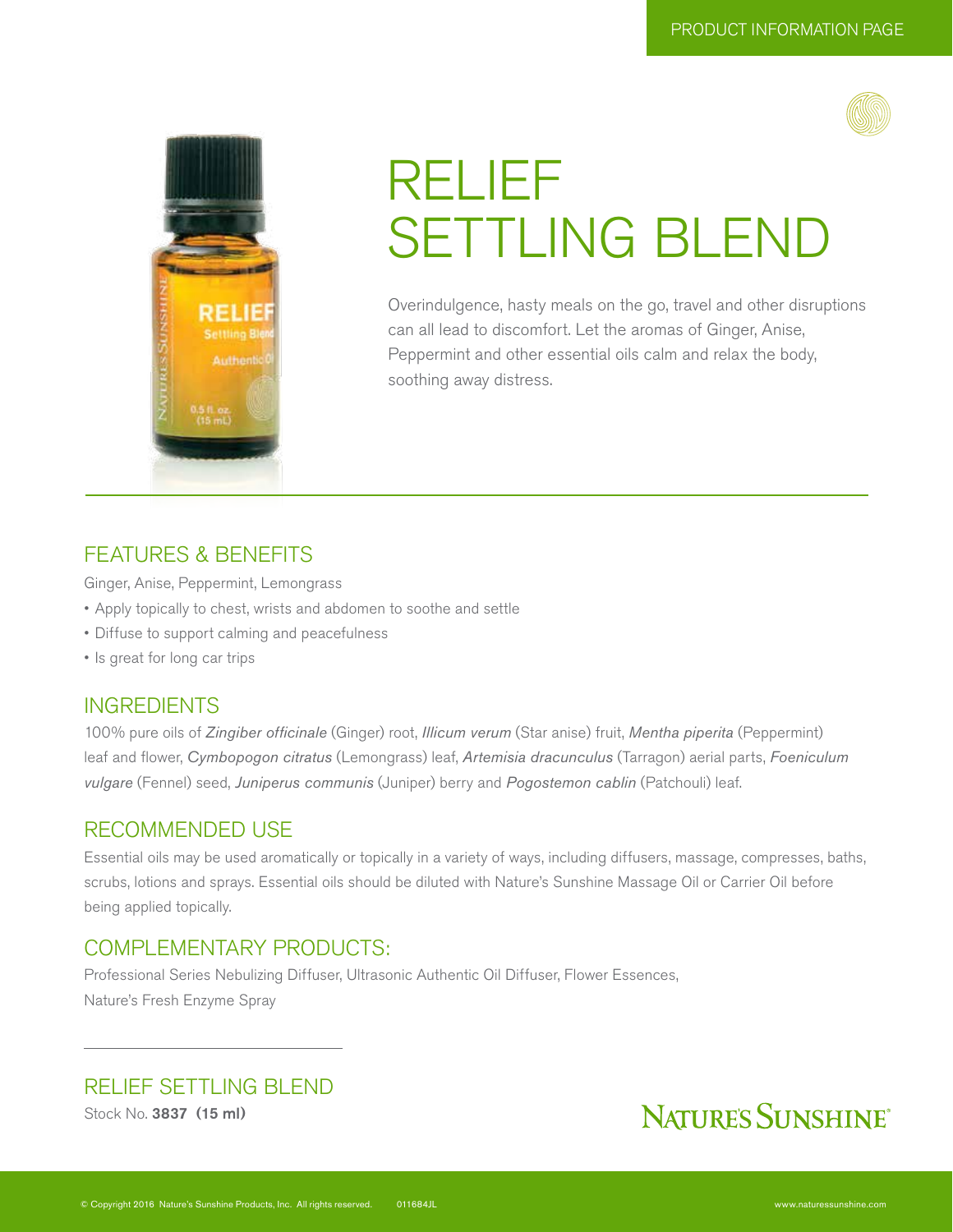



# RELIEF SETTLING BLEND

Overindulgence, hasty meals on the go, travel and other disruptions can all lead to discomfort. Let the aromas of Ginger, Anise, Peppermint and other essential oils calm and relax the body, soothing away distress.

# FEATURES & BENEFITS

Ginger, Anise, Peppermint, Lemongrass

- Apply topically to chest, wrists and abdomen to soothe and settle
- Diffuse to support calming and peacefulness
- Is great for long car trips

### INGREDIENTS

100% pure oils of *Zingiber officinale* (Ginger) root, *Illicum verum* (Star anise) fruit, *Mentha piperita* (Peppermint) leaf and flower, *Cymbopogon citratus* (Lemongrass) leaf, *Artemisia dracunculus* (Tarragon) aerial parts, *Foeniculum vulgare* (Fennel) seed, *Juniperus communis* (Juniper) berry and *Pogostemon cablin* (Patchouli) leaf.

### RECOMMENDED USE

Essential oils may be used aromatically or topically in a variety of ways, including diffusers, massage, compresses, baths, scrubs, lotions and sprays. Essential oils should be diluted with Nature's Sunshine Massage Oil or Carrier Oil before being applied topically.

### COMPLEMENTARY PRODUCTS:

Professional Series Nebulizing Diffuser, Ultrasonic Authentic Oil Diffuser, Flower Essences, Nature's Fresh Enzyme Spray

### RELIEF SETTLING BLEND

Stock No. 3837 (15 ml)

# NATURE'S SUNSHINE®